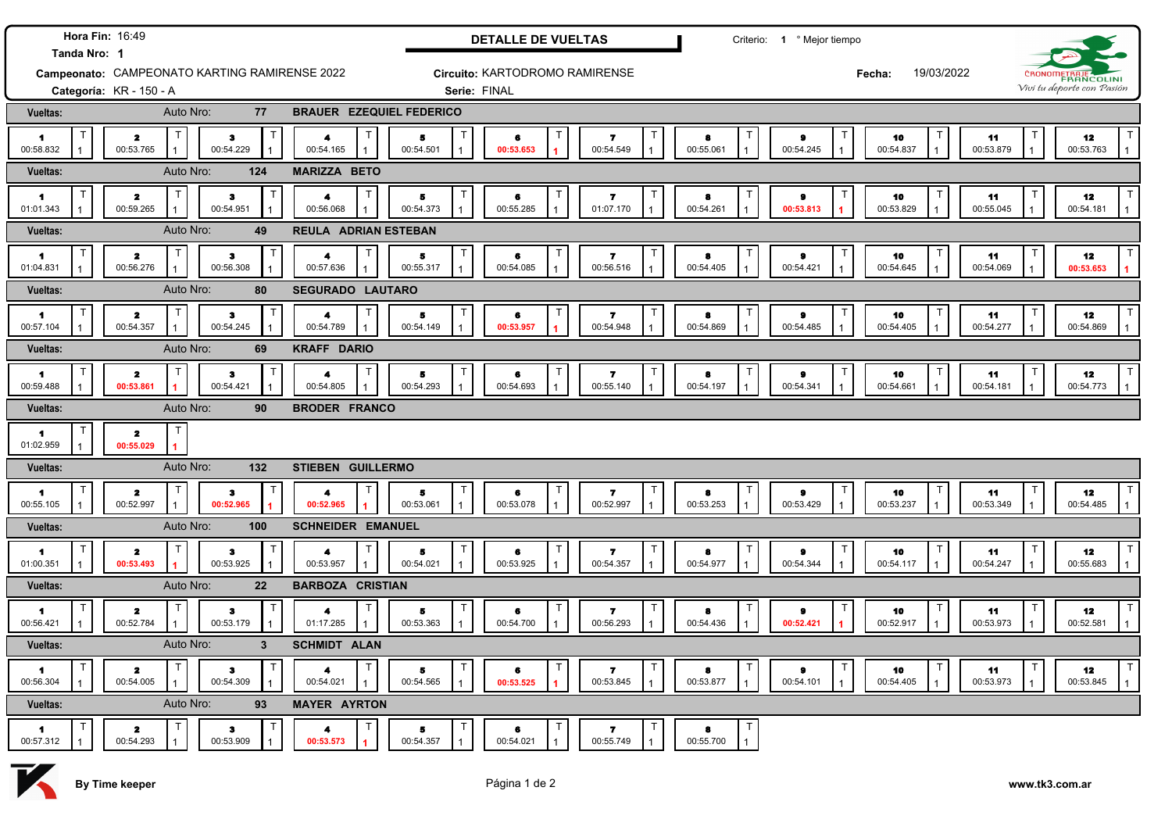|                                                               | Hora Fin: 16:49                                      |                           |                   |                                   |                                | <b>DETALLE DE VUELTAS</b>        |                                                     |                               | Criterio: 1 º Mejor tiempo               |                                 |                           |  |                            |
|---------------------------------------------------------------|------------------------------------------------------|---------------------------|-------------------|-----------------------------------|--------------------------------|----------------------------------|-----------------------------------------------------|-------------------------------|------------------------------------------|---------------------------------|---------------------------|--|----------------------------|
| Tanda Nro: 1<br>Campeonato: CAMPEONATO KARTING RAMIRENSE 2022 |                                                      |                           |                   |                                   | Circuito: KARTODROMO RAMIRENSE |                                  |                                                     |                               | 19/03/2022<br>Fecha:                     |                                 | CRONOMETRAJE              |  |                            |
|                                                               | Categoría: KR - 150 - A                              |                           |                   |                                   | Serie: FINAL                   |                                  |                                                     |                               |                                          |                                 |                           |  | Vivi tu deporte con Pasión |
| Vueltas:                                                      |                                                      | Auto Nro:                 | 77                | <b>BRAUER EZEQUIEL FEDERICO</b>   |                                |                                  |                                                     |                               |                                          |                                 |                           |  |                            |
| $\blacksquare$<br>00:58.832                                   | Т<br>$\overline{\mathbf{z}}$<br>00:53.765            | $\mathbf{3}$<br>00:54.229 | T                 | $\blacktriangleleft$<br>00:54.165 | 5<br>00:54.501                 | 6<br>00:53.653                   | 00:54.549<br>$\overline{1}$                         | 8<br>00:55.061                | $\bullet$<br>00:54.245<br>$\overline{1}$ | 10<br>00:54.837<br>$\mathbf{1}$ | T<br>11<br>00:53.879      |  | 12<br>00:53.763            |
| <b>Vueltas:</b>                                               |                                                      | Auto Nro:                 | 124               | <b>MARIZZA BETO</b>               |                                |                                  |                                                     |                               |                                          |                                 |                           |  |                            |
| $\blacksquare$<br>01:01.343                                   | т<br>$\mathbf{z}$<br>00:59.265                       | $\bullet$<br>00:54.951    | $\top$            | 4<br>00:56.068                    | 5<br>00:54.373                 | 6<br>00:55.285                   | $\overline{\mathbf{r}}$<br>01:07.170                | 8<br>00:54.261                | $\bullet$<br>00:53.813                   | 10<br>00:53.829                 | т<br>11<br>00:55.045      |  | 12<br>00:54.181            |
| Vueltas:                                                      |                                                      | Auto Nro:                 | 49                | REULA ADRIAN ESTEBAN              |                                |                                  |                                                     |                               |                                          |                                 |                           |  |                            |
| 1.<br>01:04.831                                               | $\mathsf{T}$<br>$\mathbf{z}$<br>00:56.276            | $\mathbf{3}$<br>00:56.308 | T                 | 4<br>00:57.636                    | 5<br>00:55.317                 | 6<br>00:54.085                   | 7<br>00:56.516                                      | 8<br>00:54.405                | $\pmb{9}$<br>00:54.421                   | 10<br>00:54.645                 | т<br>11<br>00:54.069      |  | 12<br>00:53.653            |
| Vueltas:                                                      |                                                      | Auto Nro:                 | 80                | <b>SEGURADO LAUTARO</b>           |                                |                                  |                                                     |                               |                                          |                                 |                           |  |                            |
| $\blacksquare$<br>00:57.104                                   | $\mathsf{T}$<br>$\mathbf{2}$<br>00:54.357            | з<br>00:54.245            | $\top$            | $\blacktriangleleft$<br>00:54.789 | 5<br>00:54.149                 | 6<br>00:53.957                   | $\overline{\mathbf{r}}$<br>00:54.948                | 8<br>00:54.869                | $\pmb{9}$<br>00:54.485                   | Т<br>10<br>00:54.405            | 11<br>00:54.277           |  | 12<br>00:54.869            |
| <b>Vueltas:</b>                                               |                                                      | Auto Nro:                 | 69                | <b>KRAFF DARIO</b>                |                                |                                  |                                                     |                               |                                          |                                 |                           |  |                            |
| 1<br>00:59.488                                                | $\mathsf T$<br>$\mathbf{z}$<br>00:53.861             | $\bullet$<br>00:54.421    | T                 | $\mathsf{T}$<br>4<br>00:54.805    | к<br>00:54.293                 | 6<br>00:54.693                   | Т<br>$\overline{\mathbf{r}}$<br>00:55.140           | 8<br>00:54.197                | $\pmb{9}$<br>00:54.341                   | 10<br>00:54.661                 | T<br>11<br>00:54.181      |  | T.<br>12<br>00:54.773      |
| <b>Vueltas:</b>                                               |                                                      | Auto Nro:                 | 90                | <b>BRODER FRANCO</b>              |                                |                                  |                                                     |                               |                                          |                                 |                           |  |                            |
| 1<br>01:02.959                                                | $\mathsf{T}$<br>$\overline{\mathbf{z}}$<br>00:55.029 |                           |                   |                                   |                                |                                  |                                                     |                               |                                          |                                 |                           |  |                            |
| <b>Vueltas:</b>                                               |                                                      | Auto Nro:                 | 132               | STIEBEN GUILLERMO                 |                                |                                  |                                                     |                               |                                          |                                 |                           |  |                            |
| $\blacksquare$<br>00:55.105                                   | $\mathsf{T}$<br>$\mathbf{z}$<br>00:52.997            | $\bullet$<br>00:52.965    | $\mathsf{T}$      | 4<br>00:52.965                    | т<br>5<br>00:53.061            | $\top$<br>$\bullet$<br>00:53.078 | Т<br>$\overline{\mathbf{r}}$<br>00:52.997           | $\mathsf T$<br>8<br>00:53.253 | т<br>$\bullet$<br>00:53.429              | 10<br>00:53.237                 | $\top$<br>11<br>00:53.349 |  | 12<br>00:54.485            |
| Vueltas:                                                      |                                                      | Auto Nro:                 | 100               | <b>SCHNEIDER EMANUEL</b>          |                                |                                  |                                                     |                               |                                          |                                 |                           |  |                            |
| 1<br>01:00.351                                                | $\mathsf{T}$<br>$\mathbf{2}$<br>00:53.493            | $\bullet$<br>00:53.925    | $\mathsf{T}$      | 4<br>00:53.957                    | т<br>в<br>00:54.021            | 6<br>00:53.925                   | $\top$<br>7<br>00:54.357                            | 8<br>00:54.977                | Т<br>$\bullet$<br>00:54.344              | 10<br>00:54.117                 | T<br>11<br>00:54.247      |  | 12<br>00:55.683            |
| Vueltas:                                                      |                                                      | Auto Nro:                 | 22                | <b>BARBOZA CRISTIAN</b>           |                                |                                  |                                                     |                               |                                          |                                 |                           |  |                            |
| 1<br>00:56.421                                                | $\mathbf{2}$<br>00:52.784                            | $\bullet$<br>00:53.179    | T<br>$\mathbf{1}$ | Т<br>4<br>01:17.285               | Т<br>5<br>00:53.363            | 6<br>00:54.700                   | $\mathsf T$<br>$\overline{\mathbf{z}}$<br>00:56.293 | 8<br>00:54.436                | $\bullet$<br>00:52.421                   | 10<br>00:52.917                 | $\top$<br>11<br>00:53.973 |  | 12<br>00:52.581            |
| Vueltas:                                                      |                                                      | Auto Nro:                 | $\mathbf{3}$      | <b>SCHMIDT ALAN</b>               |                                |                                  |                                                     |                               |                                          |                                 |                           |  |                            |
| $\blacksquare$<br>00:56.304                                   | $\overline{\mathbf{z}}$<br>00:54.005                 | $\bullet$<br>00:54.309    | $\top$            | 4<br>00:54.021                    | т<br>5<br>00:54.565            | 6<br>00:53.525                   | Т<br>7<br>00:53.845                                 | 8<br>00:53.877                | $\bullet$<br>00:54.101                   | 10<br>00:54.405                 | T<br>11<br>00:53.973      |  | 12<br>00:53.845            |
| Vueltas:                                                      |                                                      | Auto Nro:                 | 93                | <b>MAYER AYRTON</b>               |                                |                                  |                                                     |                               |                                          |                                 |                           |  |                            |
| 1<br>00:57.312                                                | $\mathbf{z}$<br>00:54.293                            | з<br>00:53.909            |                   | 4<br>00:53.573                    | 5<br>00:54.357                 | 6<br>00:54.021                   | 7<br>00:55.749                                      | $\top$<br>а<br>00:55.700      |                                          |                                 |                           |  |                            |